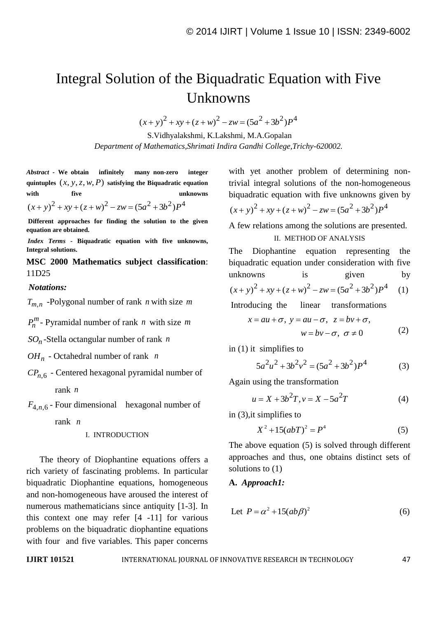# Integral Solution of the Biquadratic Equation with Five Unknowns

 $(x+y)^2 + xy + (z+w)^2 - zw = (5a^2 + 3b^2)P^4$ 

S.Vidhyalakshmi, K.Lakshmi, M.A.Gopalan *Department of Mathematics,Shrimati Indira Gandhi College,Trichy-620002.*

*Abstract -* **We obtain infinitely many non-zero integer**  quintuples  $(x, y, z, w, P)$  satisfying the Biquadratic equation **with five unknowns**   $(x+y)^2 + xy + (z+w)^2 - zw = (5a^2 + 3b^2)P^4$ 

**Different approaches for finding the solution to the given equation are obtained.**

*Index Terms* **- Biquadratic equation with five unknowns, Integral solutions.**

**MSC 2000 Mathematics subject classification**: 11D25

### *Notations:*

 $T_{m,n}$  -Polygonal number of rank *n* with size *m* 

 $P_n^m$ - Pyramidal number of rank *n* with size *m* 

*n SO* -Stella octangular number of rank *n*

*OH<sup>n</sup>* - Octahedral number of rank *n*

*CPn*,6 - Centered hexagonal pyramidal number of rank *n*

 $F_{4,n,6}$  - Four dimensional hexagonal number of

rank *n*

I. INTRODUCTION

The theory of Diophantine equations offers a rich variety of fascinating problems. In particular biquadratic Diophantine equations, homogeneous and non-homogeneous have aroused the interest of numerous mathematicians since antiquity [1-3]. In this context one may refer [4 -11] for various problems on the biquadratic diophantine equations with four and five variables. This paper concerns

with yet another problem of determining nontrivial integral solutions of the non-homogeneous biquadratic equation with five unknowns given by  $(x+y)^2 + xy + (z+w)^2 - zw = (5a^2 + 3b^2)P^4$ 

$$
(x+y)^{2} + xy + (z+w)^{2} - zw = (5a^{2} + 3b^{2})P^{4}
$$

A few relations among the solutions are presented.

#### II. METHOD OF ANALYSIS

The Diophantine equation representing the biquadratic equation under consideration with five unknowns is given by

unknowns is given by  

$$
(x+y)^2 + xy + (z+w)^2 - zw = (5a^2 + 3b^2)P^4
$$
 (1)

Introducing the linear transformations

, , , , 0 *x au y au z bv w bv* (2)

in (1) it simplifies to

$$
5a^2u^2 + 3b^2v^2 = (5a^2 + 3b^2)P^4
$$
 (3)

Again using the transformation

$$
u = X + 3b2T, v = X - 5a2T
$$
 (4)

in (3),it simplifies to

$$
X^2 + 15(abT)^2 = P^4 \tag{5}
$$

The above equation (5) is solved through different approaches and thus, one obtains distinct sets of solutions to (1)

### **A.** *Approach1:*

$$
Let P = \alpha^2 + 15(ab\beta)^2
$$
 (6)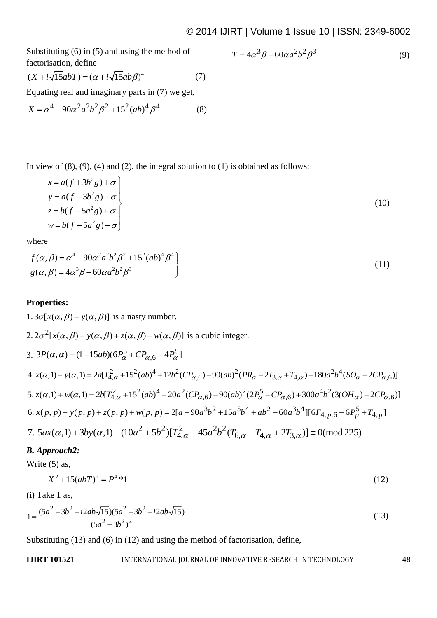Substituting (6) in (5) and using the method of factorisation, define

$$
T = 4\alpha^3 \beta - 60\alpha a^2 b^2 \beta^3 \tag{9}
$$

ractors  
\n
$$
(X + i\sqrt{15}abT) = (\alpha + i\sqrt{15}ab\beta)^{4}
$$
\n(7)

Equating real and imaginary parts in (7) we get,  
\n
$$
X = \alpha^4 - 90\alpha^2 a^2 b^2 \beta^2 + 15^2 (ab)^4 \beta^4
$$
\n(8)

In view of  $(8)$ ,  $(9)$ ,  $(4)$  and  $(2)$ , the integral solution to  $(1)$  is obtained as follows:

$$
x = a(f + 3b^{2}g) + \sigma
$$
  
\n
$$
y = a(f + 3b^{2}g) - \sigma
$$
  
\n
$$
z = b(f - 5a^{2}g) + \sigma
$$
  
\n
$$
w = b(f - 5a^{2}g) - \sigma
$$
\n(10)

where

where  
\n
$$
f(\alpha, \beta) = \alpha^4 - 90\alpha^2 a^2 b^2 \beta^2 + 15^2 (ab)^4 \beta^4
$$
\n
$$
g(\alpha, \beta) = 4\alpha^3 \beta - 60\alpha a^2 b^2 \beta^3
$$
\n(11)

# **Properties:**

 $1.3\sigma[x(\alpha,\beta)-y(\alpha,\beta)]$  is a nasty number.  $2.2\sigma^2$  $2\sigma^2 [x(\alpha, \beta) - y(\alpha, \beta) + z(\alpha, \beta) - w(\alpha, \beta)]$  is a cubic integer. 3.  $3P(\alpha, \alpha) = (1 + 15ab)(6P_{\alpha}^{3} + CP_{\alpha,6} - 4P_{\alpha}^{5})$  $(6P_{\alpha}^{3} + CP_{\alpha,6} - 4P_{\alpha}^{5})$  is a cubic integer.<br>  $(6P_{\alpha}^{3} + CP_{\alpha,6} - 4P_{\alpha}^{5})$ <br>  $(2\lambda_{1,\alpha} + 15^{2}(ab)^{4} + 12b^{2}(CP_{\alpha,6}) - 90(ab)^{2}(PR_{\alpha} - 2T_{3,\alpha} + T_{4,\alpha}) + 180a^{2}b^{4})$ 2,  $2\sigma^2 [x(\alpha, \beta) - y(\alpha, \beta) + z(\alpha, \beta) - w(\alpha, \beta)]$  is a cubic integer.<br>
3,  $3P(\alpha, \alpha) = (1 + 15ab)(6P_\alpha^3 + CP_{\alpha, 6} - 4P_\alpha^5]$ <br>
4.  $x(\alpha, 1) - y(\alpha, 1) = 2a[T_{4,\alpha}^2 + 15^2(ab)^4 + 12b^2(CP_{\alpha, 6}) - 90(ab)^2(PR_\alpha - 2T_{3,\alpha} + T_{4,\alpha}) + 180a^2b^4(SO_\alpha - 2CP_{\alpha, 6})$  $(6P_{\alpha}^{3} + CP_{\alpha,6} - 4P_{\alpha}^{3})$ <br>  $\int_{\alpha}^{2} (4B)^{4} + 12b^{2}(CP_{\alpha,6}) - 90(ab)^{2}(PR_{\alpha} - 2T_{3,\alpha} + T_{4,\alpha}) + 180ab$ <br>  $\int_{\alpha}^{2} (4B)^{4} - 20a^{2}(CP_{\alpha,6}) - 90(ab)^{2}(2P_{\alpha}^{5} - CP_{\alpha,6}) + 300a^{4}b^{2}$ 3.  $3P(\alpha, \alpha) = (1 + 15ab)(6P_\alpha^3 + CP_{\alpha,6} - 4P_\alpha^5]$ <br>
4.  $x(\alpha,1) - y(\alpha,1) = 2a[T_{4,\alpha}^2 + 15^2(ab)^4 + 12b^2(CP_{\alpha,6}) - 90(ab)^2(PR_\alpha - 2T_{3,\alpha} + T_{4,\alpha}) + 180a^2b^4(SO_\alpha - 2CP_{\alpha,6})]$ <br>
5.  $z(\alpha,1) + w(\alpha,1) = 2b[T_{4,\alpha}^2 + 15^2(ab)^4 - 20a^2(CP_{\alpha,6}) - 90(ab)^2(2P_\alpha$ 4.  $x(\alpha,1) - y(\alpha,1) = 2a[T_{4,\alpha}^2 + 15^2(ab)^4 + 12b^2(CP_{\alpha,6}) - 90(ab)^2(PR_{\alpha} - 2T_{3,\alpha} + T_{4,\alpha}) + 180a^2b^4(SO_{\alpha} - 2CP_{\alpha,6})]$ <br>5.  $z(\alpha,1) + w(\alpha,1) = 2b[T_{4,\alpha}^2 + 15^2(ab)^4 - 20a^2(CP_{\alpha,6}) - 90(ab)^2(2P_{\alpha}^5 - CP_{\alpha,6}) + 300a^4b^2(3(OH_{\alpha}) - 2CP_{\alpha,6})]$ <br> 6,  $x(p, p) + y(p, p) + z(p, p) + w(p, p) = 2[a - 90a^3b^2 + 15a^5b^4 + ab^2 - 60a^3b^4][6F_{4, p, 6} - 6P_p^5 + T_{4, p}]$ <br>
7.  $5ax(\alpha, 1) + 3by(\alpha, 1) - (10a^2 + 5b^2)[T_{4, \alpha}^2 - 45a^2b^2(T_{6, \alpha} - T_{4, \alpha} + 2T_{3, \alpha})] \equiv 0 \pmod{225}$ 

# *B. Approach2:*

Write (5) as,

$$
X^2 + 15(abT)^2 = P^4 * 1 \tag{12}
$$

**(i)** Take 1 as,

(i) Take 1 as,  
\n
$$
1 = \frac{(5a^2 - 3b^2 + i2ab\sqrt{15})(5a^2 - 3b^2 - i2ab\sqrt{15})}{(5a^2 + 3b^2)^2}
$$
\n(13)

Substituting (13) and (6) in (12) and using the method of factorisation, define,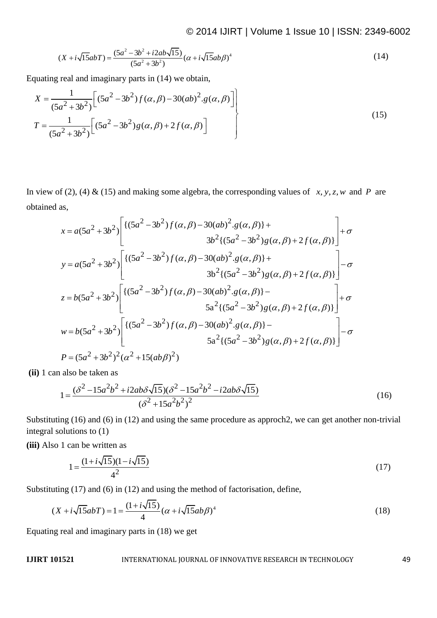$$
\text{2014 IJIR I } \text{Vouville I } \text{ISue IU } \text{ISue IU } \text{ISouel I} \tag{14}
$$
\n
$$
(X + i\sqrt{15}abT) = \frac{(5a^2 - 3b^2 + i2ab\sqrt{15})}{(5a^2 + 3b^2)}(\alpha + i\sqrt{15}ab\beta)^4
$$

Equating real and imaginary parts in (14) we obtain,  
\n
$$
X = \frac{1}{(5a^2 + 3b^2)} \Bigg[ (5a^2 - 3b^2) f(\alpha, \beta) - 30(ab^2 \cdot g(\alpha, \beta)) \Bigg]
$$
\n
$$
T = \frac{1}{(5a^2 + 3b^2)} \Big[ (5a^2 - 3b^2) g(\alpha, \beta) + 2 f(\alpha, \beta) \Big]
$$
\n(15)

In view of (2), (4) & (15) and making some algebra, the corresponding values of *x*, *y*, *z*, *w* and *P* are obtained as,<br>  $x = a(5a^2 + 3b^2) \left[ \frac{(5a^2 - 3b^2)f(\alpha, \beta) - 30(ab)^2 g(\alpha, \beta)}{2a^2} + \frac{1}{2} + \sigma \right] + \sigma$ obtained as,

as,  
\n
$$
x = a(5a^{2} + 3b^{2}) \left[ \frac{\{(5a^{2} - 3b^{2})f(\alpha, \beta) - 30(ab)^{2} \cdot g(\alpha, \beta)\} + 3b^{2}\{(5a^{2} - 3b^{2})g(\alpha, \beta) + 2f(\alpha, \beta)\}}{3b^{2}\{(5a^{2} - 3b^{2})g(\alpha, \beta) + 2f(\alpha, \beta)\}} \right] + \sigma
$$
\n
$$
y = a(5a^{2} + 3b^{2}) \left[ \frac{\{(5a^{2} - 3b^{2})f(\alpha, \beta) - 30(ab)^{2} \cdot g(\alpha, \beta)\} + 3b^{2}\{(5a^{2} - 3b^{2})g(\alpha, \beta) + 2f(\alpha, \beta)\}}{3b^{2}\{(5a^{2} - 3b^{2})g(\alpha, \beta) + 2f(\alpha, \beta)\}} \right] - \sigma
$$
\n
$$
5a^{2}\{(5a^{2} - 3b^{2})g(\alpha, \beta) + 2f(\alpha, \beta)\} \left[ + \sigma
$$
\n
$$
5a^{2}\{(5a^{2} - 3b^{2})g(\alpha, \beta) + 2f(\alpha, \beta)\} \right] + \sigma
$$
\n
$$
w = b(5a^{2} + 3b^{2}) \left[ \frac{\{(5a^{2} - 3b^{2})f(\alpha, \beta) - 30(ab)^{2} \cdot g(\alpha, \beta)\} - 5a^{2}\{(5a^{2} - 3b^{2})g(\alpha, \beta) + 2f(\alpha, \beta)\}}{5a^{2}\{(5a^{2} - 3b^{2})g(\alpha, \beta) + 2f(\alpha, \beta)\}} \right] - \sigma
$$
\n
$$
P = (5a^{2} + 3b^{2})^{2}(\alpha^{2} + 15(ab\beta)^{2})
$$

**(ii)** 1 can also be taken as

also be taken as  
\n
$$
1 = \frac{(\delta^2 - 15a^2b^2 + i2ab\delta\sqrt{15})(\delta^2 - 15a^2b^2 - i2ab\delta\sqrt{15})}{(\delta^2 + 15a^2b^2)^2}
$$
\n(16)

Substituting (16) and (6) in (12) and using the same procedure as approch2, we can get another non-trivial integral solutions to (1)

**(iii)** Also 1 can be written as

$$
1 = \frac{(1 + i\sqrt{15})(1 - i\sqrt{15})}{4^2} \tag{17}
$$

Substituting (17) and (6) in (12) and using the method of factorisation, define,  
\n
$$
(X + i\sqrt{15}abT) = 1 = \frac{(1 + i\sqrt{15})}{4}(\alpha + i\sqrt{15}ab\beta)^4
$$
\n(18)

Equating real and imaginary parts in (18) we get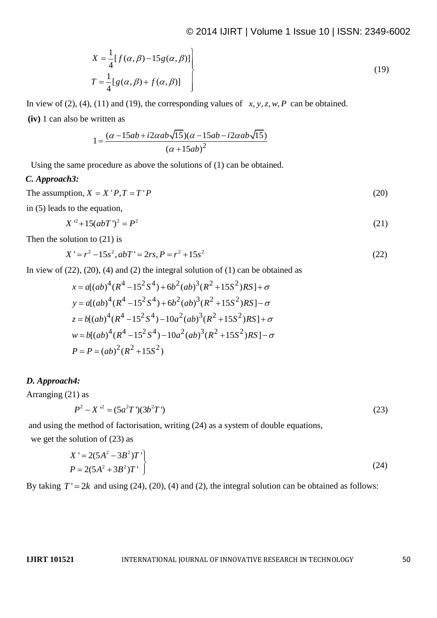$$
X = \frac{1}{4} [f(\alpha, \beta) - 15g(\alpha, \beta)]
$$
  
\n
$$
T = \frac{1}{4} [g(\alpha, \beta) + f(\alpha, \beta)]
$$
\n(19)

In view of (2), (4), (11) and (19), the corresponding values of  $x, y, z, w, P$  can be obtained.

**(iv)** 1 can also be written as

written as  
\n
$$
1 = \frac{(\alpha - 15ab + i2\alpha ab\sqrt{15})(\alpha - 15ab - i2\alpha ab\sqrt{15})}{(\alpha + 15ab)^2}
$$

Using the same procedure as above the solutions of (1) can be obtained.

### *C. Approach3:*

The assumption,  $X = X'P, T = T'P$  (20)

in (5) leads to the equation,

$$
X^2 + 15(abT)^2 = P^2 \tag{21}
$$

Then the solution to (21) is

olution to (21) is  
\n
$$
X' = r^2 - 15s^2, abT' = 2rs, P = r^2 + 15s^2
$$
\n(22)

In view of (22), (20), (4) and (2) the integral solution of (1) can be obtained as  
\n
$$
x = a[(ab)^{4}(R^{4} - 15^{2}S^{4}) + 6b^{2}(ab)^{3}(R^{2} + 15S^{2})RS] + \sigma
$$
\n
$$
y = a[(ab)^{4}(R^{4} - 15^{2}S^{4}) + 6b^{2}(ab)^{3}(R^{2} + 15S^{2})RS] - \sigma
$$
\n
$$
z = b[(ab)^{4}(R^{4} - 15^{2}S^{4}) - 10a^{2}(ab)^{3}(R^{2} + 15S^{2})RS] + \sigma
$$
\n
$$
w = b[(ab)^{4}(R^{4} - 15^{2}S^{4}) - 10a^{2}(ab)^{3}(R^{2} + 15S^{2})RS] - \sigma
$$
\n
$$
P = P = (ab)^{2}(R^{2} + 15S^{2})
$$

#### *D. Approach4:*

Arranging (21) as

$$
P^2 - X^2 = (5a^2T')(3b^2T')\tag{23}
$$

and using the method of factorisation, writing (24) as a system of double equations, we get the solution of (23) as

$$
X' = 2(5A^{2} - 3B^{2})T'
$$
  
\n
$$
P = 2(5A^{2} + 3B^{2})T'
$$
 (24)

By taking  $T' = 2k$  and using (24), (20), (4) and (2), the integral solution can be obtained as follows: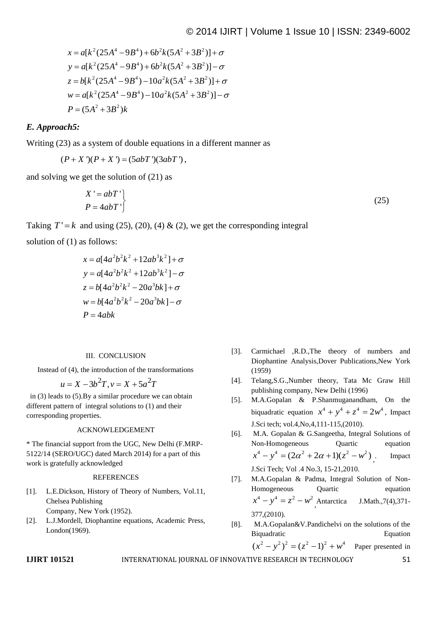$$
\mathcal{L} = a[k^{2}(25A^{4} - 9B^{4}) + 6b^{2}k(5A^{2} + 3B^{2})] + \sigma
$$
  
\n
$$
y = a[k^{2}(25A^{4} - 9B^{4}) + 6b^{2}k(5A^{2} + 3B^{2})] - \sigma
$$
  
\n
$$
z = b[k^{2}(25A^{4} - 9B^{4}) - 10a^{2}k(5A^{2} + 3B^{2})] + \sigma
$$
  
\n
$$
w = a[k^{2}(25A^{4} - 9B^{4}) - 10a^{2}k(5A^{2} + 3B^{2})] - \sigma
$$
  
\n
$$
P = (5A^{2} + 3B^{2})k
$$

# *E. Approach5:*

Writing (23) as a system of double equations in a different manner as

$$
(P+X')(P+X') = (5abT')(3abT'),
$$

and solving we get the solution of (21) as

$$
X' = abT'
$$
  
 
$$
P = 4abT'
$$
 (25)

Taking  $T' = k$  and using (25), (20), (4) & (2), we get the corresponding integral

solution of (1) as follows:

$$
x = a[4a^{2}b^{2}k^{2} + 12ab^{3}k^{2}] + \sigma
$$
  
\n
$$
y = a[4a^{2}b^{2}k^{2} + 12ab^{3}k^{2}] - \sigma
$$
  
\n
$$
z = b[4a^{2}b^{2}k^{2} - 20a^{3}bk] + \sigma
$$
  
\n
$$
w = b[4a^{2}b^{2}k^{2} - 20a^{3}bk] - \sigma
$$
  
\n
$$
P = 4abk
$$

#### III. CONCLUSION

Instead of (4), the introduction of the transformations<br>  $u = X - 3b^2T$ ,  $v = X + 5a^2T$ 

$$
u = X - 3b^2T, v = X + 5a^2T
$$

in (3) leads to (5).By a similar procedure we can obtain different pattern of integral solutions to (1) and their corresponding properties.

#### ACKNOWLEDGEMENT

\* The financial support from the UGC, New Delhi (F.MRP-5122/14 (SERO/UGC) dated March 2014) for a part of this work is gratefully acknowledged

#### **REFERENCES**

- [1]. L.E.Dickson, History of Theory of Numbers, Vol.11, Chelsea Publishing Company, New York (1952).
- [2]. L.J.Mordell, Diophantine equations, Academic Press, London(1969).
- [3]. Carmichael ,R.D.,The theory of numbers and Diophantine Analysis,Dover Publications,New York (1959)
- [4]. Telang,S.G.,Number theory, Tata Mc Graw Hill publishing company, New Delhi (1996)
- [5]. M.A.Gopalan & P.Shanmuganandham, On the biquadratic equation  $x^4 + y^4 + z^4 = 2w^4$ , Impact J.Sci tech; vol.4,No,4,111-115,(2010).
- [6]. M.A. Gopalan & G.Sangeetha, Integral Solutions of Non-Homogeneous Quartic equation Non-Homogeneous Quartic<br> $x^4 - y^4 = (2\alpha^2 + 2\alpha + 1)(z^2 - w^2)$ . Impact J.Sci Tech; Vol .4 No.3, 15-21,2010.
- [7]. M.A.Gopalan & Padma, Integral Solution of Non-Homogeneous Quartic equation  $x^4 - y^4 = z^2 - w^2$ ,  $J.Math.,7(4),371-$ 377,(2010).
- [8]. M.A.Gopalan&V.Pandichelvi on the solutions of the Biquadratic Equation  $(x^{2} - y^{2})^{2} = (z^{2} - 1)^{2} + w^{4}$

$$
(x^2 - y^2)^2 = (z^2 - 1)^2 + w^4
$$
 Paper presented in